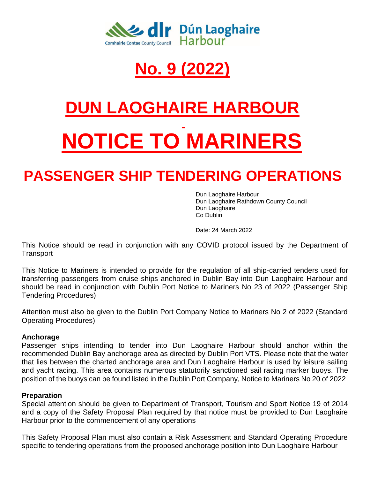

## **No. 9 (2022)**

# **DUN LAOGHAIRE HARBOUR NOTICE TO MARINERS**

### **PASSENGER SHIP TENDERING OPERATIONS**

Dun Laoghaire Harbour Dun Laoghaire Rathdown County Council Dun Laoghaire Co Dublin

Date: 24 March 2022

This Notice should be read in conjunction with any COVID protocol issued by the Department of **Transport** 

This Notice to Mariners is intended to provide for the regulation of all ship-carried tenders used for transferring passengers from cruise ships anchored in Dublin Bay into Dun Laoghaire Harbour and should be read in conjunction with Dublin Port Notice to Mariners No 23 of 2022 (Passenger Ship Tendering Procedures)

Attention must also be given to the Dublin Port Company Notice to Mariners No 2 of 2022 (Standard Operating Procedures)

#### **Anchorage**

Passenger ships intending to tender into Dun Laoghaire Harbour should anchor within the recommended Dublin Bay anchorage area as directed by Dublin Port VTS. Please note that the water that lies between the charted anchorage area and Dun Laoghaire Harbour is used by leisure sailing and yacht racing. This area contains numerous statutorily sanctioned sail racing marker buoys. The position of the buoys can be found listed in the Dublin Port Company, Notice to Mariners No 20 of 2022

#### **Preparation**

Special attention should be given to Department of Transport, Tourism and Sport Notice 19 of 2014 and a copy of the Safety Proposal Plan required by that notice must be provided to Dun Laoghaire Harbour prior to the commencement of any operations

This Safety Proposal Plan must also contain a Risk Assessment and Standard Operating Procedure specific to tendering operations from the proposed anchorage position into Dun Laoghaire Harbour